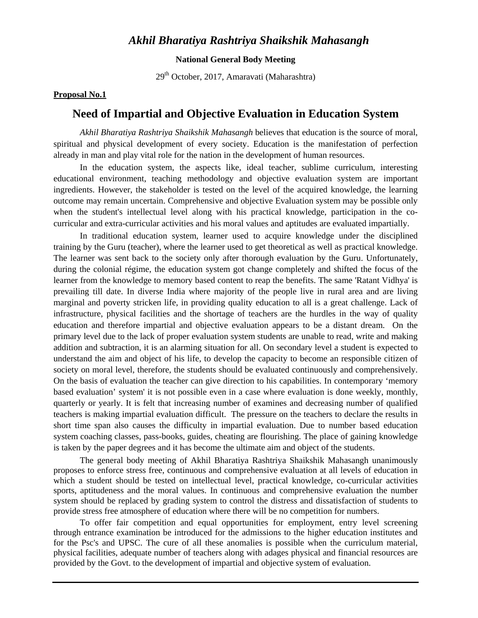# *Akhil Bharatiya Rashtriya Shaikshik Mahasangh*

### **National General Body Meeting**

29th October, 2017, Amaravati (Maharashtra)

### **Proposal No.1**

# **Need of Impartial and Objective Evaluation in Education System**

*Akhil Bharatiya Rashtriya Shaikshik Mahasangh* believes that education is the source of moral, spiritual and physical development of every society. Education is the manifestation of perfection already in man and play vital role for the nation in the development of human resources.

In the education system, the aspects like, ideal teacher, sublime curriculum, interesting educational environment, teaching methodology and objective evaluation system are important ingredients. However, the stakeholder is tested on the level of the acquired knowledge, the learning outcome may remain uncertain. Comprehensive and objective Evaluation system may be possible only when the student's intellectual level along with his practical knowledge, participation in the cocurricular and extra-curricular activities and his moral values and aptitudes are evaluated impartially.

 In traditional education system, learner used to acquire knowledge under the disciplined training by the Guru (teacher), where the learner used to get theoretical as well as practical knowledge. The learner was sent back to the society only after thorough evaluation by the Guru. Unfortunately, during the colonial régime, the education system got change completely and shifted the focus of the learner from the knowledge to memory based content to reap the benefits. The same 'Ratant Vidhya' is prevailing till date. In diverse India where majority of the people live in rural area and are living marginal and poverty stricken life, in providing quality education to all is a great challenge. Lack of infrastructure, physical facilities and the shortage of teachers are the hurdles in the way of quality education and therefore impartial and objective evaluation appears to be a distant dream. On the primary level due to the lack of proper evaluation system students are unable to read, write and making addition and subtraction, it is an alarming situation for all. On secondary level a student is expected to understand the aim and object of his life, to develop the capacity to become an responsible citizen of society on moral level, therefore, the students should be evaluated continuously and comprehensively. On the basis of evaluation the teacher can give direction to his capabilities. In contemporary 'memory based evaluation' system' it is not possible even in a case where evaluation is done weekly, monthly, quarterly or yearly. It is felt that increasing number of examines and decreasing number of qualified teachers is making impartial evaluation difficult. The pressure on the teachers to declare the results in short time span also causes the difficulty in impartial evaluation. Due to number based education system coaching classes, pass-books, guides, cheating are flourishing. The place of gaining knowledge is taken by the paper degrees and it has become the ultimate aim and object of the students.

 The general body meeting of Akhil Bharatiya Rashtriya Shaikshik Mahasangh unanimously proposes to enforce stress free, continuous and comprehensive evaluation at all levels of education in which a student should be tested on intellectual level, practical knowledge, co-curricular activities sports, aptitudeness and the moral values. In continuous and comprehensive evaluation the number system should be replaced by grading system to control the distress and dissatisfaction of students to provide stress free atmosphere of education where there will be no competition for numbers.

 To offer fair competition and equal opportunities for employment, entry level screening through entrance examination be introduced for the admissions to the higher education institutes and for the Psc's and UPSC. The cure of all these anomalies is possible when the curriculum material, physical facilities, adequate number of teachers along with adages physical and financial resources are provided by the Govt. to the development of impartial and objective system of evaluation.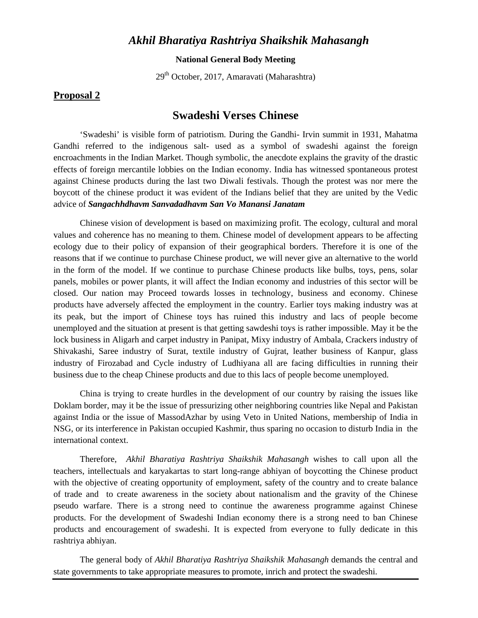# *Akhil Bharatiya Rashtriya Shaikshik Mahasangh*

### **National General Body Meeting**

29th October, 2017, Amaravati (Maharashtra)

### **Proposal 2**

## **Swadeshi Verses Chinese**

'Swadeshi' is visible form of patriotism. During the Gandhi- Irvin summit in 1931, Mahatma Gandhi referred to the indigenous salt- used as a symbol of swadeshi against the foreign encroachments in the Indian Market. Though symbolic, the anecdote explains the gravity of the drastic effects of foreign mercantile lobbies on the Indian economy. India has witnessed spontaneous protest against Chinese products during the last two Diwali festivals. Though the protest was nor mere the boycott of the chinese product it was evident of the Indians belief that they are united by the Vedic advice of *Sangachhdhavm Sanvadadhavm San Vo Manansi Janatam*

Chinese vision of development is based on maximizing profit. The ecology, cultural and moral values and coherence has no meaning to them. Chinese model of development appears to be affecting ecology due to their policy of expansion of their geographical borders. Therefore it is one of the reasons that if we continue to purchase Chinese product, we will never give an alternative to the world in the form of the model. If we continue to purchase Chinese products like bulbs, toys, pens, solar panels, mobiles or power plants, it will affect the Indian economy and industries of this sector will be closed. Our nation may Proceed towards losses in technology, business and economy. Chinese products have adversely affected the employment in the country. Earlier toys making industry was at its peak, but the import of Chinese toys has ruined this industry and lacs of people become unemployed and the situation at present is that getting sawdeshi toys is rather impossible. May it be the lock business in Aligarh and carpet industry in Panipat, Mixy industry of Ambala, Crackers industry of Shivakashi, Saree industry of Surat, textile industry of Gujrat, leather business of Kanpur, glass industry of Firozabad and Cycle industry of Ludhiyana all are facing difficulties in running their business due to the cheap Chinese products and due to this lacs of people become unemployed.

China is trying to create hurdles in the development of our country by raising the issues like Doklam border, may it be the issue of pressurizing other neighboring countries like Nepal and Pakistan against India or the issue of MassodAzhar by using Veto in United Nations, membership of India in NSG, or its interference in Pakistan occupied Kashmir, thus sparing no occasion to disturb India in the international context.

Therefore, *Akhil Bharatiya Rashtriya Shaikshik Mahasangh* wishes to call upon all the teachers, intellectuals and karyakartas to start long-range abhiyan of boycotting the Chinese product with the objective of creating opportunity of employment, safety of the country and to create balance of trade and to create awareness in the society about nationalism and the gravity of the Chinese pseudo warfare. There is a strong need to continue the awareness programme against Chinese products. For the development of Swadeshi Indian economy there is a strong need to ban Chinese products and encouragement of swadeshi. It is expected from everyone to fully dedicate in this rashtriya abhiyan.

The general body of *Akhil Bharatiya Rashtriya Shaikshik Mahasangh* demands the central and state governments to take appropriate measures to promote, inrich and protect the swadeshi.